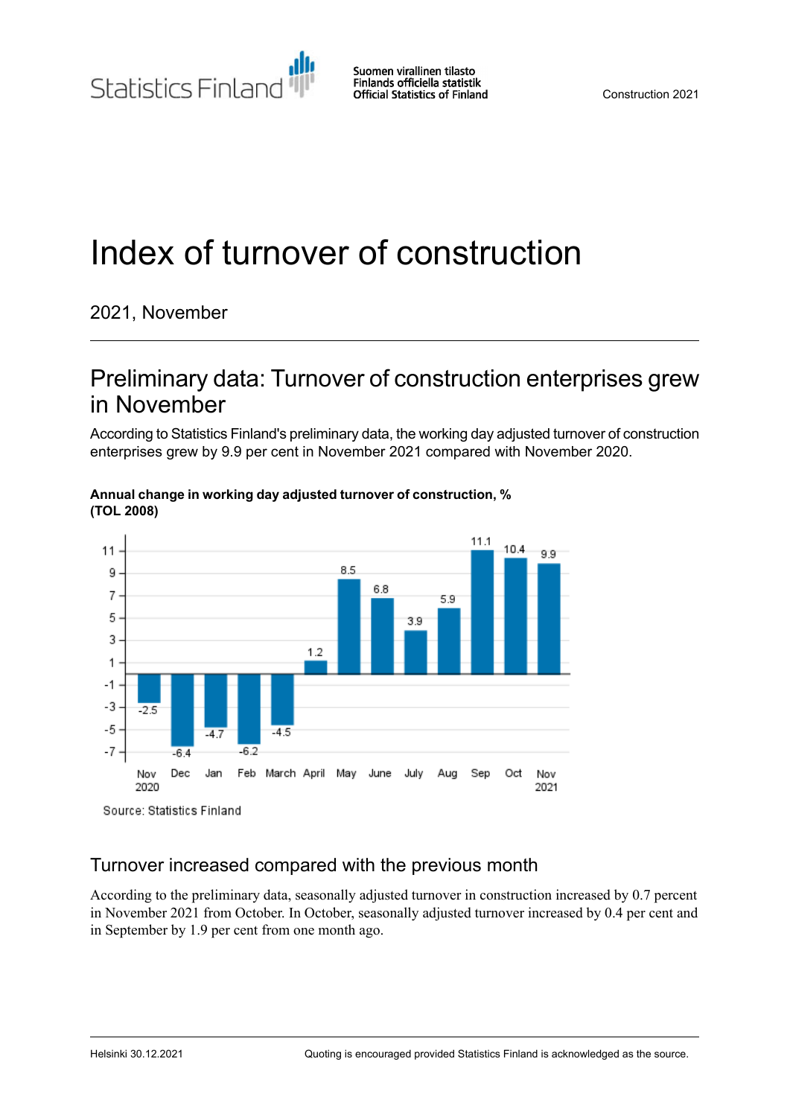Statistics Finland

Suomen virallinen tilasto Finlands officiella statistik **Official Statistics of Finland** 

# Index of turnover of construction

#### 2021, November

### Preliminary data: Turnover of construction enterprises grew in November

According to Statistics Finland's preliminary data, the working day adjusted turnover of construction enterprises grew by 9.9 per cent in November 2021 compared with November 2020.



**Annual change in working day adjusted turnover of construction, % (TOL 2008)**

#### Turnover increased compared with the previous month

According to the preliminary data, seasonally adjusted turnover in construction increased by 0.7 percent in November 2021 from October. In October, seasonally adjusted turnover increased by 0.4 per cent and in September by 1.9 per cent from one month ago.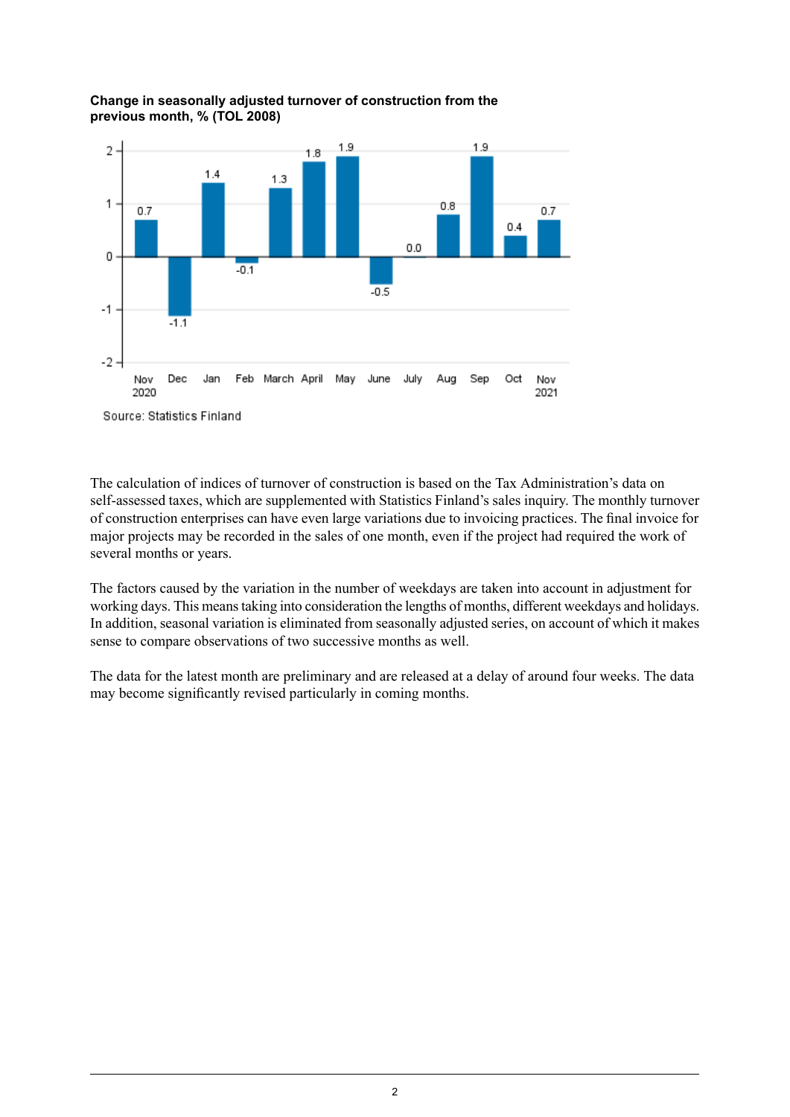

**Change in seasonally adjusted turnover of construction from the previous month, % (TOL 2008)**

Source: Statistics Finland

The calculation of indices of turnover of construction is based on the Tax Administration's data on self-assessed taxes, which are supplemented with Statistics Finland's sales inquiry. The monthly turnover of construction enterprises can have even large variations due to invoicing practices. The final invoice for major projects may be recorded in the sales of one month, even if the project had required the work of several months or years.

The factors caused by the variation in the number of weekdays are taken into account in adjustment for working days. This meanstaking into consideration the lengths of months, different weekdays and holidays. In addition, seasonal variation is eliminated from seasonally adjusted series, on account of which it makes sense to compare observations of two successive months as well.

The data for the latest month are preliminary and are released at a delay of around four weeks. The data may become significantly revised particularly in coming months.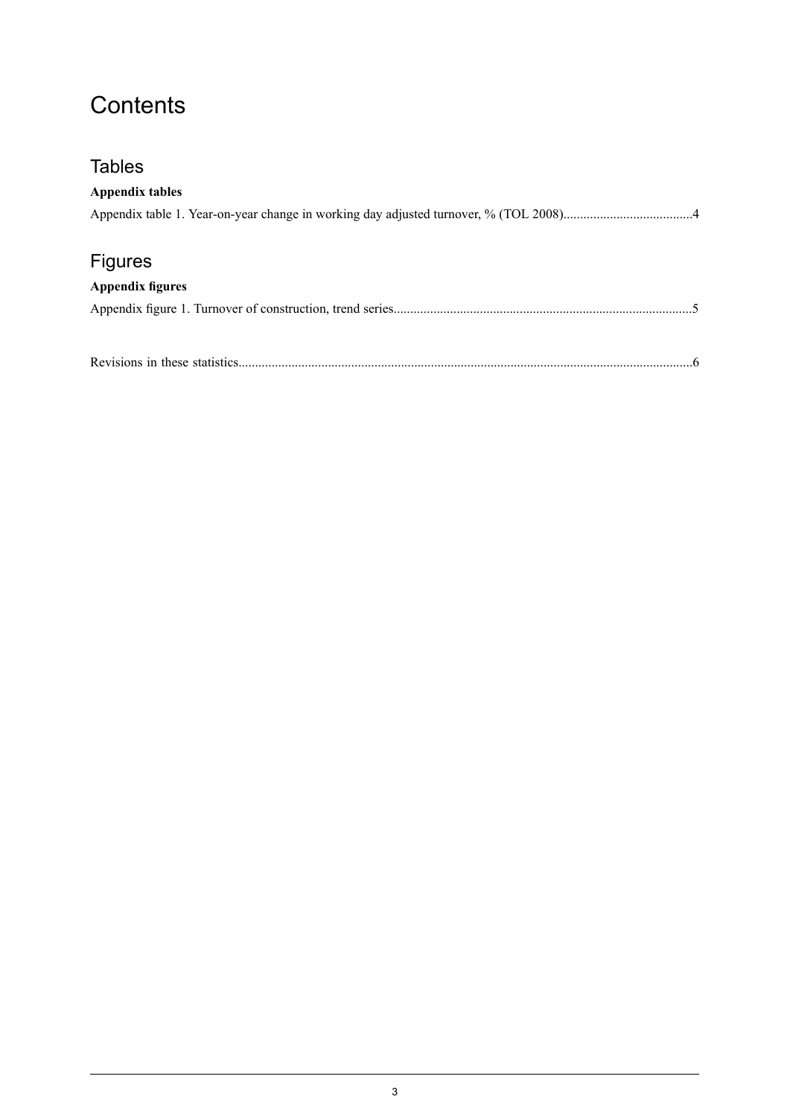### **Contents**

# **Tables Appendix tables** Appendix table 1. Year-on-year change in working day adjusted turnover, % (TOL [2008\).......................................4](#page-3-0) Figures **Appendix figures** Appendix figure 1. Turnover of construction, trend [series..........................................................................................5](#page-4-0) Revisions in these [statistics.........................................................................................................................................6](#page-5-0)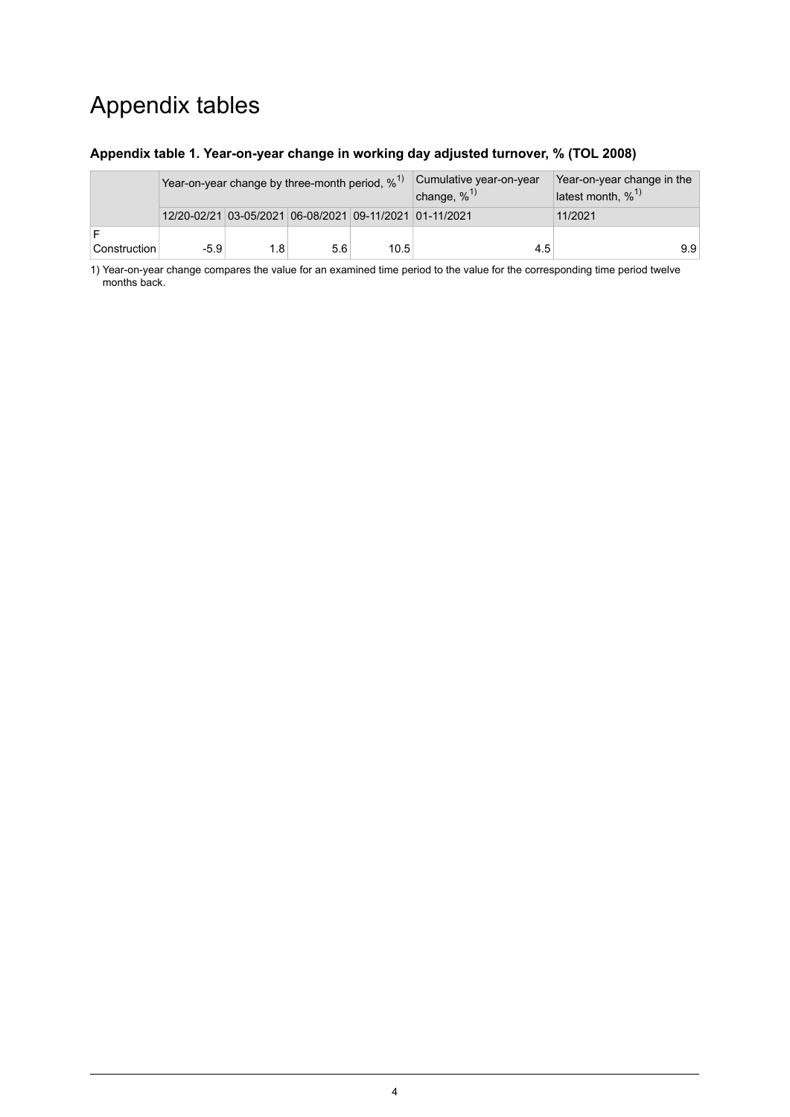### Appendix tables

#### <span id="page-3-0"></span>**Appendix table 1. Year-on-year change in working day adjusted turnover, % (TOL 2008)**

|              | Year-on-year change by three-month period, $\%$ <sup>1)</sup> |     |     |      | Cumulative year-on-year<br>change, $\%$ <sup>1)</sup> | Year-on-year change in the<br>latest month, $\%$ <sup>1)</sup> |  |  |
|--------------|---------------------------------------------------------------|-----|-----|------|-------------------------------------------------------|----------------------------------------------------------------|--|--|
|              | 12/20-02/21 03-05/2021 06-08/2021 09-11/2021 01-11/2021       |     |     |      |                                                       | 11/2021                                                        |  |  |
| Construction | $-5.9$                                                        | 1.8 | 5.6 | 10.5 | 4.5                                                   | 9.9                                                            |  |  |

1) Year-on-year change compares the value for an examined time period to the value for the corresponding time period twelve months back.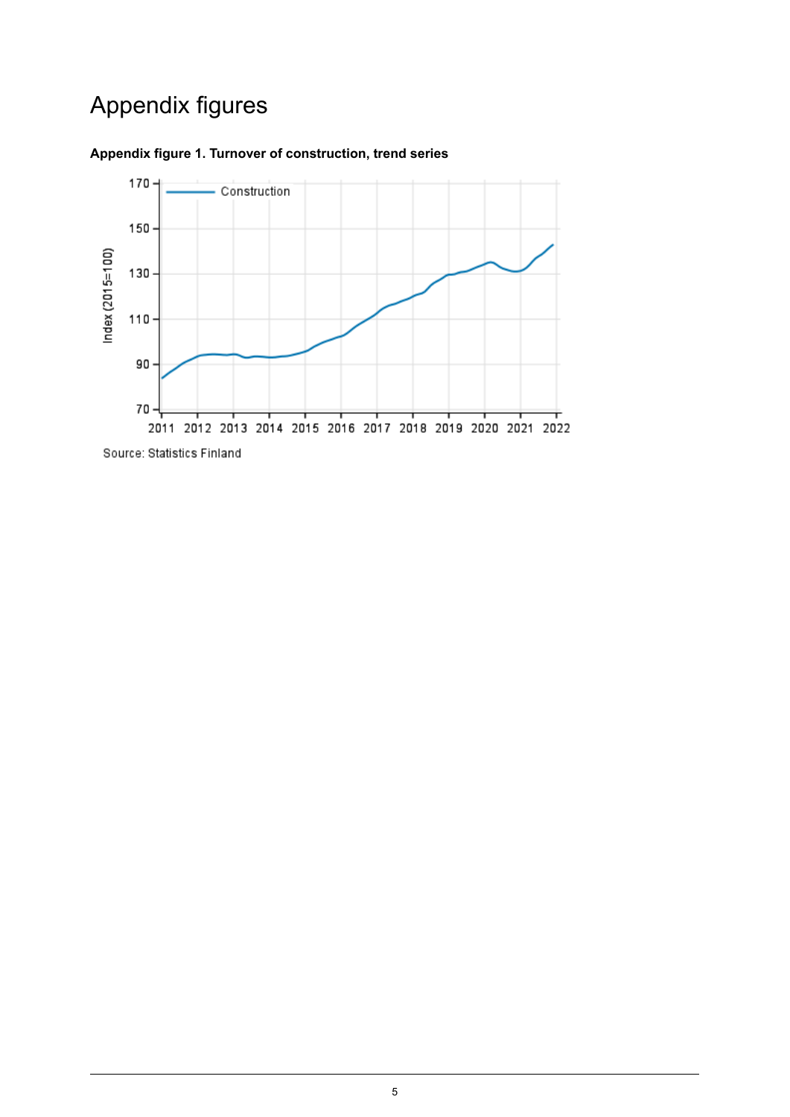# Appendix figures



#### <span id="page-4-0"></span>**Appendix figure 1. Turnover of construction, trend series**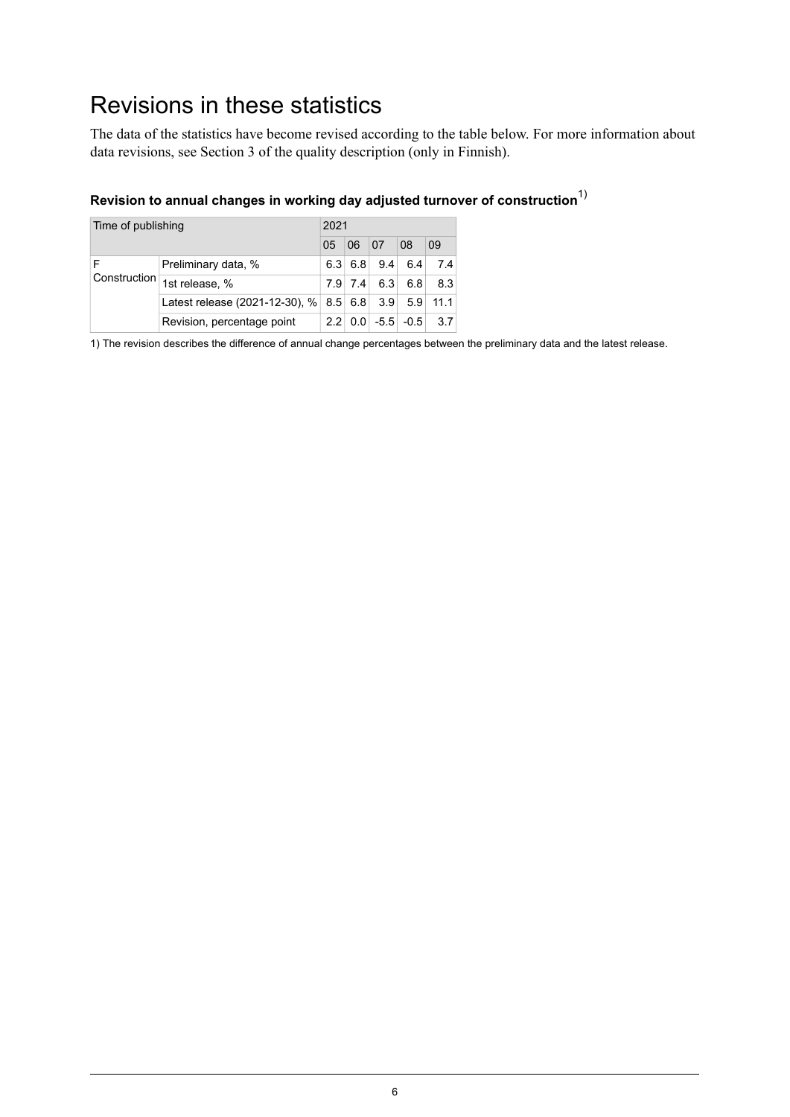### <span id="page-5-0"></span>Revisions in these statistics

The data of the statistics have become revised according to the table below. For more information about data revisions, see Section 3 of the quality description (only in Finnish).

#### **Revision to annual changes in working day adjusted turnover of construction**1)

| Time of publishing |                                |     | 2021         |     |               |      |  |  |
|--------------------|--------------------------------|-----|--------------|-----|---------------|------|--|--|
|                    | 0 <sub>5</sub>                 | 06  | 07           | 08  | 09            |      |  |  |
|                    | Preliminary data, %            | 6.3 | 6.8          | 9.4 | 6.4           | 7.4  |  |  |
| Construction       | 1st release, %                 | 7.9 | 7.4          | 6.3 | 6.8           | 8.3  |  |  |
|                    | Latest release (2021-12-30), % |     | $8.5 \, 6.8$ | 3.9 | 5.9           | 11.1 |  |  |
|                    | Revision, percentage point     | 22  | 0.0          |     | $-5.5$ $-0.5$ | 3.7  |  |  |

1) The revision describes the difference of annual change percentages between the preliminary data and the latest release.